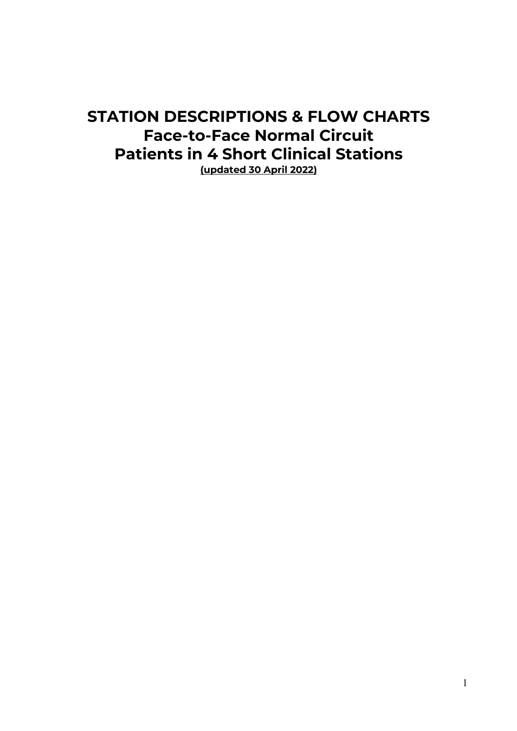# **STATION DESCRIPTIONS & FLOW CHARTS Face-to-Face Normal Circuit Patients in 4 Short Clinical Stations (updated 30 April 2022)**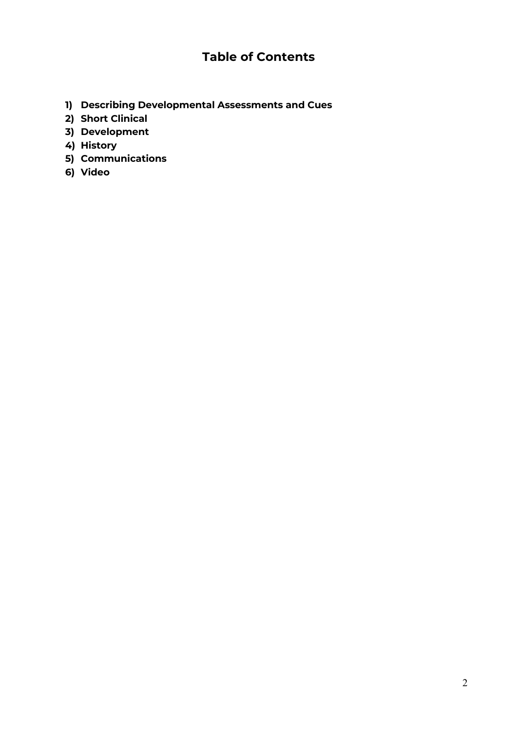# **Table of Contents**

- **1) Describing Developmental Assessments and Cues**
- **2) Short Clinical**
- **3) Development**
- **4) History**
- **5) Communications**
- **6) Video**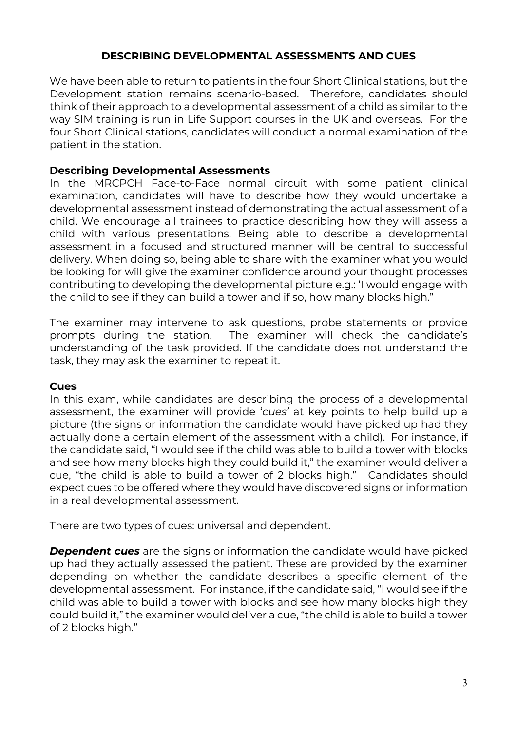# **DESCRIBING DEVELOPMENTAL ASSESSMENTS AND CUES**

We have been able to return to patients in the four Short Clinical stations, but the Development station remains scenario-based. Therefore, candidates should think of their approach to a developmental assessment of a child as similar to the way SIM training is run in Life Support courses in the UK and overseas. For the four Short Clinical stations, candidates will conduct a normal examination of the patient in the station.

### **Describing Developmental Assessments**

In the MRCPCH Face-to-Face normal circuit with some patient clinical examination, candidates will have to describe how they would undertake a developmental assessment instead of demonstrating the actual assessment of a child. We encourage all trainees to practice describing how they will assess a child with various presentations. Being able to describe a developmental assessment in a focused and structured manner will be central to successful delivery. When doing so, being able to share with the examiner what you would be looking for will give the examiner confidence around your thought processes contributing to developing the developmental picture e.g.: 'I would engage with the child to see if they can build a tower and if so, how many blocks high."

The examiner may intervene to ask questions, probe statements or provide prompts during the station. The examiner will check the candidate's understanding of the task provided. If the candidate does not understand the task, they may ask the examiner to repeat it.

#### **Cues**

In this exam, while candidates are describing the process of a developmental assessment, the examiner will provide '*cues'* at key points to help build up a picture (the signs or information the candidate would have picked up had they actually done a certain element of the assessment with a child). For instance, if the candidate said, "I would see if the child was able to build a tower with blocks and see how many blocks high they could build it," the examiner would deliver a cue, "the child is able to build a tower of 2 blocks high." Candidates should expect cues to be offered where they would have discovered signs or information in a real developmental assessment.

There are two types of cues: universal and dependent.

*Dependent cues* are the signs or information the candidate would have picked up had they actually assessed the patient. These are provided by the examiner depending on whether the candidate describes a specific element of the developmental assessment. For instance, if the candidate said, "I would see if the child was able to build a tower with blocks and see how many blocks high they could build it," the examiner would deliver a cue, "the child is able to build a tower of 2 blocks high."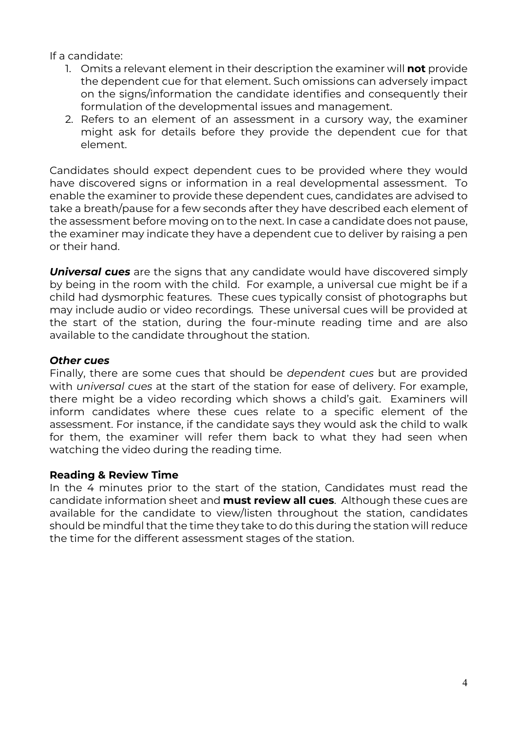If a candidate:

- 1. Omits a relevant element in their description the examiner will **not** provide the dependent cue for that element. Such omissions can adversely impact on the signs/information the candidate identifies and consequently their formulation of the developmental issues and management.
- 2. Refers to an element of an assessment in a cursory way, the examiner might ask for details before they provide the dependent cue for that element.

Candidates should expect dependent cues to be provided where they would have discovered signs or information in a real developmental assessment. To enable the examiner to provide these dependent cues, candidates are advised to take a breath/pause for a few seconds after they have described each element of the assessment before moving on to the next. In case a candidate does not pause, the examiner may indicate they have a dependent cue to deliver by raising a pen or their hand.

*Universal cues* are the signs that any candidate would have discovered simply by being in the room with the child. For example, a universal cue might be if a child had dysmorphic features. These cues typically consist of photographs but may include audio or video recordings. These universal cues will be provided at the start of the station, during the four-minute reading time and are also available to the candidate throughout the station.

# *Other cues*

Finally, there are some cues that should be *dependent cues* but are provided with *universal cues* at the start of the station for ease of delivery. For example, there might be a video recording which shows a child's gait. Examiners will inform candidates where these cues relate to a specific element of the assessment. For instance, if the candidate says they would ask the child to walk for them, the examiner will refer them back to what they had seen when watching the video during the reading time.

# **Reading & Review Time**

In the 4 minutes prior to the start of the station, Candidates must read the candidate information sheet and **must review all cues**. Although these cues are available for the candidate to view/listen throughout the station, candidates should be mindful that the time they take to do this during the station will reduce the time for the different assessment stages of the station.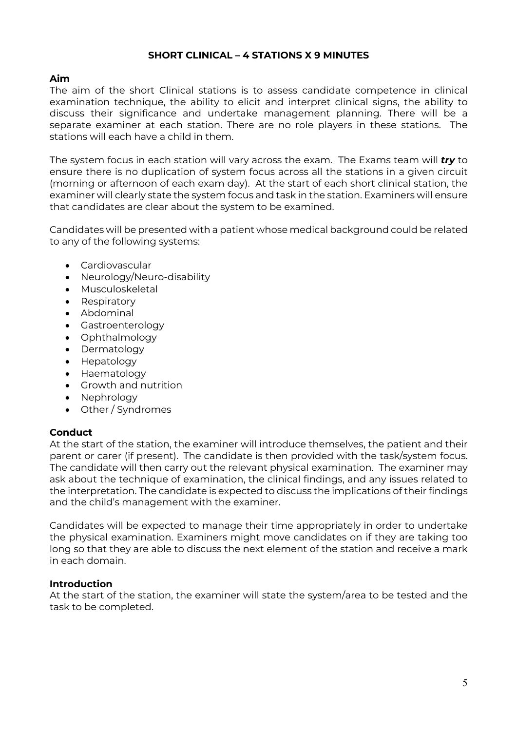### **SHORT CLINICAL – 4 STATIONS X 9 MINUTES**

#### **Aim**

The aim of the short Clinical stations is to assess candidate competence in clinical examination technique, the ability to elicit and interpret clinical signs, the ability to discuss their significance and undertake management planning. There will be a separate examiner at each station. There are no role players in these stations. The stations will each have a child in them.

The system focus in each station will vary across the exam. The Exams team will *try* to ensure there is no duplication of system focus across all the stations in a given circuit (morning or afternoon of each exam day). At the start of each short clinical station, the examiner will clearly state the system focus and task in the station. Examiners will ensure that candidates are clear about the system to be examined.

Candidates will be presented with a patient whose medical background could be related to any of the following systems:

- Cardiovascular
- Neurology/Neuro-disability
- Musculoskeletal
- Respiratory
- Abdominal
- Gastroenterology
- Ophthalmology
- Dermatology
- Hepatology
- Haematology
- Growth and nutrition
- Nephrology
- Other / Syndromes

#### **Conduct**

At the start of the station, the examiner will introduce themselves, the patient and their parent or carer (if present). The candidate is then provided with the task/system focus. The candidate will then carry out the relevant physical examination. The examiner may ask about the technique of examination, the clinical findings, and any issues related to the interpretation. The candidate is expected to discuss the implications of their findings and the child's management with the examiner.

Candidates will be expected to manage their time appropriately in order to undertake the physical examination. Examiners might move candidates on if they are taking too long so that they are able to discuss the next element of the station and receive a mark in each domain.

#### **Introduction**

At the start of the station, the examiner will state the system/area to be tested and the task to be completed.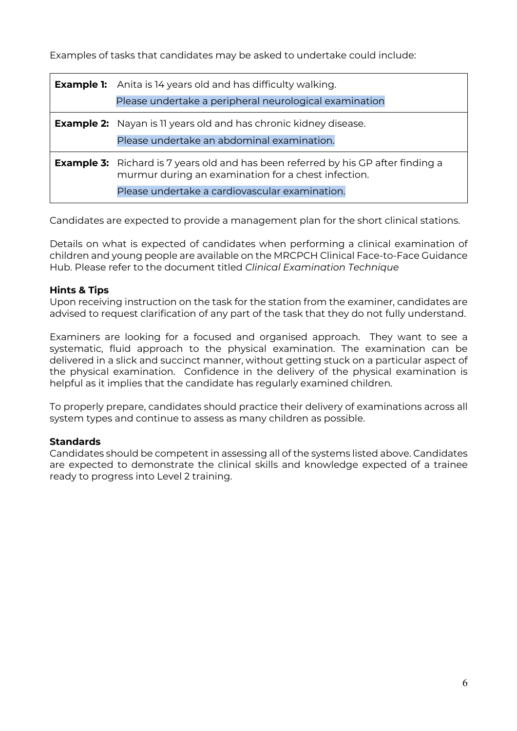Examples of tasks that candidates may be asked to undertake could include:

| <b>Example 1:</b> Anita is 14 years old and has difficulty walking.<br>Please undertake a peripheral neurological examination                                                                     |
|---------------------------------------------------------------------------------------------------------------------------------------------------------------------------------------------------|
| <b>Example 2:</b> Nayan is 11 years old and has chronic kidney disease.<br>Please undertake an abdominal examination.                                                                             |
| <b>Example 3:</b> Richard is 7 years old and has been referred by his GP after finding a<br>murmur during an examination for a chest infection.<br>Please undertake a cardiovascular examination. |

Candidates are expected to provide a management plan for the short clinical stations.

Details on what is expected of candidates when performing a clinical examination of children and young people are available on the MRCPCH Clinical Face-to-Face Guidance Hub. Please refer to the document titled *Clinical Examination Technique* 

## **Hints & Tips**

Upon receiving instruction on the task for the station from the examiner, candidates are advised to request clarification of any part of the task that they do not fully understand.

Examiners are looking for a focused and organised approach. They want to see a systematic, fluid approach to the physical examination. The examination can be delivered in a slick and succinct manner, without getting stuck on a particular aspect of the physical examination. Confidence in the delivery of the physical examination is helpful as it implies that the candidate has regularly examined children.

To properly prepare, candidates should practice their delivery of examinations across all system types and continue to assess as many children as possible.

## **Standards**

Candidates should be competent in assessing all of the systems listed above. Candidates are expected to demonstrate the clinical skills and knowledge expected of a trainee ready to progress into Level 2 training.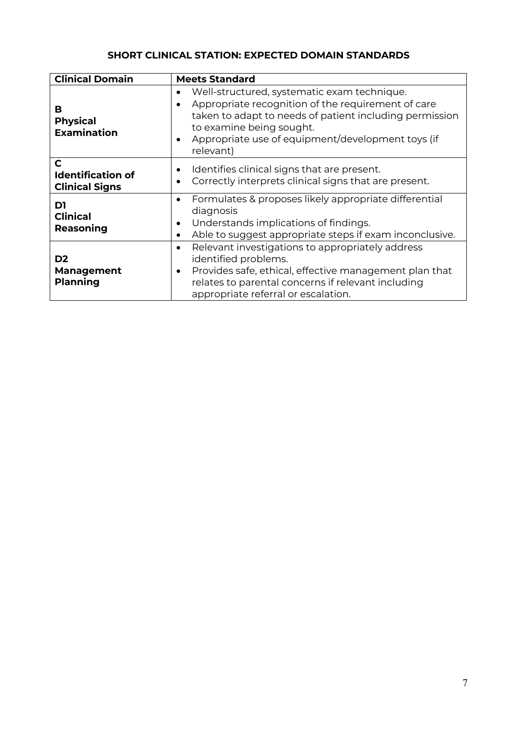# **SHORT CLINICAL STATION: EXPECTED DOMAIN STANDARDS**

| <b>Clinical Domain</b>                                 | <b>Meets Standard</b>                                                                                                                                                                                                                                                   |
|--------------------------------------------------------|-------------------------------------------------------------------------------------------------------------------------------------------------------------------------------------------------------------------------------------------------------------------------|
| в<br><b>Physical</b><br><b>Examination</b>             | Well-structured, systematic exam technique.<br>$\bullet$<br>Appropriate recognition of the requirement of care<br>taken to adapt to needs of patient including permission<br>to examine being sought.<br>Appropriate use of equipment/development toys (if<br>relevant) |
| C<br><b>Identification of</b><br><b>Clinical Signs</b> | Identifies clinical signs that are present.<br>٠<br>Correctly interprets clinical signs that are present.<br>$\bullet$                                                                                                                                                  |
| D1<br><b>Clinical</b><br>Reasoning                     | Formulates & proposes likely appropriate differential<br>diagnosis<br>Understands implications of findings.<br>$\bullet$<br>Able to suggest appropriate steps if exam inconclusive.<br>$\bullet$                                                                        |
| D <sub>2</sub><br><b>Management</b><br><b>Planning</b> | Relevant investigations to appropriately address<br>$\bullet$<br>identified problems.<br>Provides safe, ethical, effective management plan that<br>$\bullet$<br>relates to parental concerns if relevant including<br>appropriate referral or escalation.               |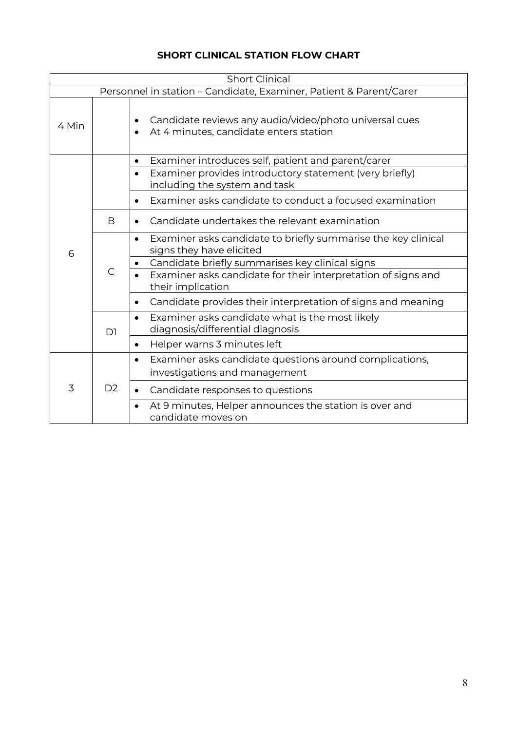# **SHORT CLINICAL STATION FLOW CHART**

| <b>Short Clinical</b> |                |                                                                                                               |
|-----------------------|----------------|---------------------------------------------------------------------------------------------------------------|
|                       |                | Personnel in station - Candidate, Examiner, Patient & Parent/Carer                                            |
| 4 Min                 |                | Candidate reviews any audio/video/photo universal cues<br>$\bullet$<br>At 4 minutes, candidate enters station |
|                       |                | Examiner introduces self, patient and parent/carer<br>$\bullet$                                               |
|                       |                | Examiner provides introductory statement (very briefly)<br>including the system and task                      |
|                       |                | Examiner asks candidate to conduct a focused examination                                                      |
|                       | B              | Candidate undertakes the relevant examination                                                                 |
| 6                     | $\mathsf{C}$   | Examiner asks candidate to briefly summarise the key clinical<br>$\bullet$<br>signs they have elicited        |
|                       |                | Candidate briefly summarises key clinical signs                                                               |
|                       |                | Examiner asks candidate for their interpretation of signs and<br>their implication                            |
|                       |                | Candidate provides their interpretation of signs and meaning                                                  |
|                       | D1             | Examiner asks candidate what is the most likely<br>$\bullet$<br>diagnosis/differential diagnosis              |
|                       |                | Helper warns 3 minutes left<br>$\bullet$                                                                      |
| 3                     | D <sub>2</sub> | Examiner asks candidate questions around complications,<br>$\bullet$<br>investigations and management         |
|                       |                | Candidate responses to questions<br>$\bullet$                                                                 |
|                       |                | At 9 minutes, Helper announces the station is over and<br>candidate moves on                                  |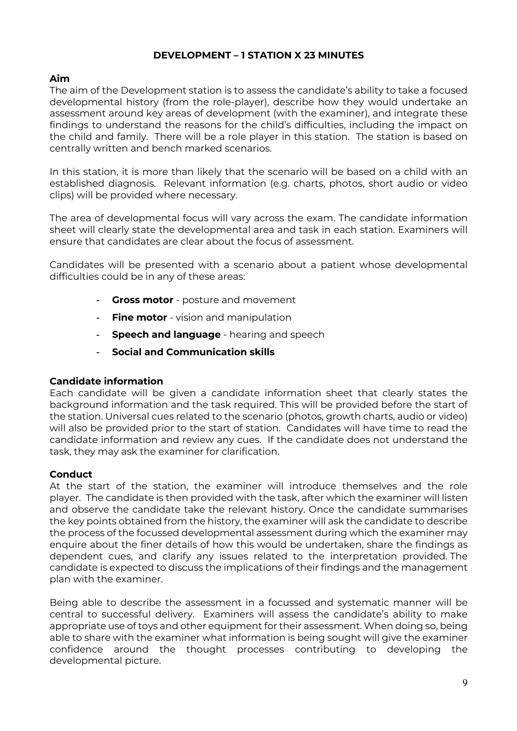### **DEVELOPMENT – 1 STATION X 23 MINUTES**

#### **Aim**

The aim of the Development station is to assess the candidate's ability to take a focused developmental history (from the role-player), describe how they would undertake an assessment around key areas of development (with the examiner), and integrate these findings to understand the reasons for the child's difficulties, including the impact on the child and family. There will be a role player in this station. The station is based on centrally written and bench marked scenarios.

In this station, it is more than likely that the scenario will be based on a child with an established diagnosis. Relevant information (e.g. charts, photos, short audio or video clips) will be provided where necessary.

The area of developmental focus will vary across the exam. The candidate information sheet will clearly state the developmental area and task in each station. Examiners will ensure that candidates are clear about the focus of assessment.

Candidates will be presented with a scenario about a patient whose developmental difficulties could be in any of these areas:

- **Gross motor** posture and movement
- **Fine motor** vision and manipulation
- **Speech and language** hearing and speech
- **Social and Communication skills**

#### **Candidate information**

Each candidate will be given a candidate information sheet that clearly states the background information and the task required. This will be provided before the start of the station. Universal cues related to the scenario (photos, growth charts, audio or video) will also be provided prior to the start of station. Candidates will have time to read the candidate information and review any cues. If the candidate does not understand the task, they may ask the examiner for clarification.

#### **Conduct**

At the start of the station, the examiner will introduce themselves and the role player. The candidate is then provided with the task, after which the examiner will listen and observe the candidate take the relevant history. Once the candidate summarises the key points obtained from the history, the examiner will ask the candidate to describe the process of the focussed developmental assessment during which the examiner may enquire about the finer details of how this would be undertaken, share the findings as dependent cues, and clarify any issues related to the interpretation provided. The candidate is expected to discuss the implications of their findings and the management plan with the examiner.

Being able to describe the assessment in a focussed and systematic manner will be central to successful delivery. Examiners will assess the candidate's ability to make appropriate use of toys and other equipment for their assessment. When doing so, being able to share with the examiner what information is being sought will give the examiner confidence around the thought processes contributing to developing the developmental picture.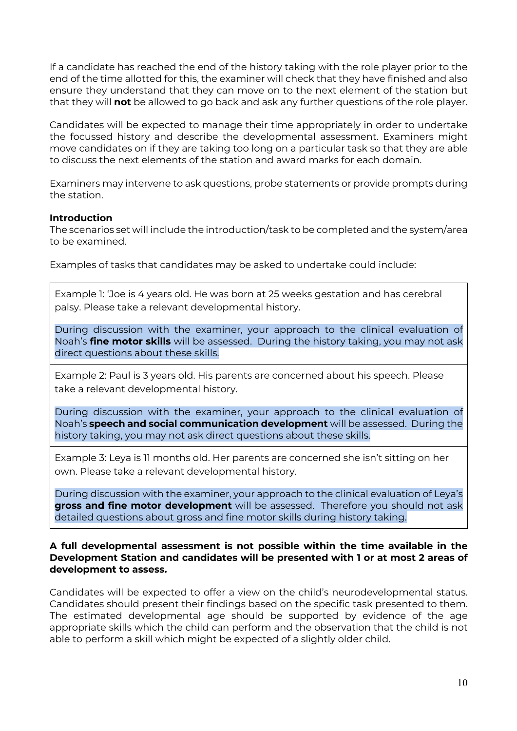If a candidate has reached the end of the history taking with the role player prior to the end of the time allotted for this, the examiner will check that they have finished and also ensure they understand that they can move on to the next element of the station but that they will **not** be allowed to go back and ask any further questions of the role player.

Candidates will be expected to manage their time appropriately in order to undertake the focussed history and describe the developmental assessment. Examiners might move candidates on if they are taking too long on a particular task so that they are able to discuss the next elements of the station and award marks for each domain.

Examiners may intervene to ask questions, probe statements or provide prompts during the station.

#### **Introduction**

The scenarios set will include the introduction/task to be completed and the system/area to be examined.

Examples of tasks that candidates may be asked to undertake could include:

Example 1: 'Joe is 4 years old. He was born at 25 weeks gestation and has cerebral palsy. Please take a relevant developmental history.

During discussion with the examiner, your approach to the clinical evaluation of Noah's **fine motor skills** will be assessed. During the history taking, you may not ask direct questions about these skills.

Example 2: Paul is 3 years old. His parents are concerned about his speech. Please take a relevant developmental history.

During discussion with the examiner, your approach to the clinical evaluation of Noah's **speech and social communication development** will be assessed. During the history taking, you may not ask direct questions about these skills.

Example 3: Leya is 11 months old. Her parents are concerned she isn't sitting on her own. Please take a relevant developmental history.

During discussion with the examiner, your approach to the clinical evaluation of Leya's **gross and fine motor development** will be assessed. Therefore you should not ask detailed questions about gross and fine motor skills during history taking.

#### **A full developmental assessment is not possible within the time available in the Development Station and candidates will be presented with 1 or at most 2 areas of development to assess.**

Candidates will be expected to offer a view on the child's neurodevelopmental status. Candidates should present their findings based on the specific task presented to them. The estimated developmental age should be supported by evidence of the age appropriate skills which the child can perform and the observation that the child is not able to perform a skill which might be expected of a slightly older child.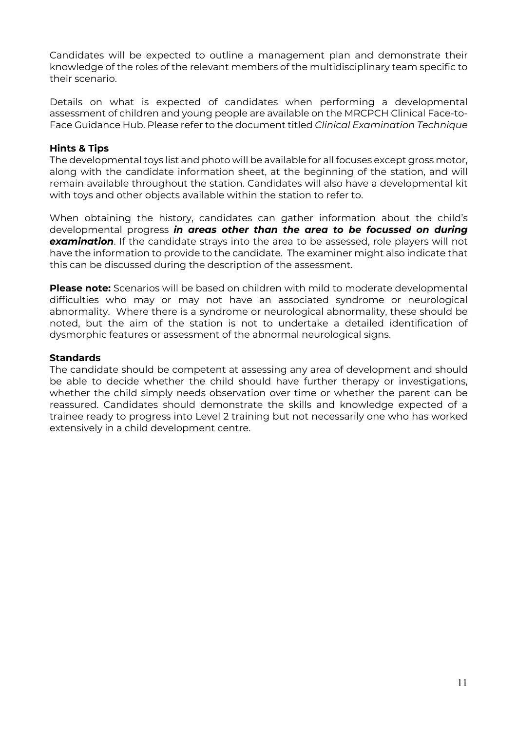Candidates will be expected to outline a management plan and demonstrate their knowledge of the roles of the relevant members of the multidisciplinary team specific to their scenario.

Details on what is expected of candidates when performing a developmental assessment of children and young people are available on the MRCPCH Clinical Face-to-Face Guidance Hub. Please refer to the document titled *Clinical Examination Technique*

#### **Hints & Tips**

The developmental toys list and photo will be available for all focuses except gross motor, along with the candidate information sheet, at the beginning of the station, and will remain available throughout the station. Candidates will also have a developmental kit with toys and other objects available within the station to refer to.

When obtaining the history, candidates can gather information about the child's developmental progress *in areas other than the area to be focussed on during examination*. If the candidate strays into the area to be assessed, role players will not have the information to provide to the candidate. The examiner might also indicate that this can be discussed during the description of the assessment.

**Please note:** Scenarios will be based on children with mild to moderate developmental difficulties who may or may not have an associated syndrome or neurological abnormality. Where there is a syndrome or neurological abnormality, these should be noted, but the aim of the station is not to undertake a detailed identification of dysmorphic features or assessment of the abnormal neurological signs.

#### **Standards**

The candidate should be competent at assessing any area of development and should be able to decide whether the child should have further therapy or investigations, whether the child simply needs observation over time or whether the parent can be reassured. Candidates should demonstrate the skills and knowledge expected of a trainee ready to progress into Level 2 training but not necessarily one who has worked extensively in a child development centre.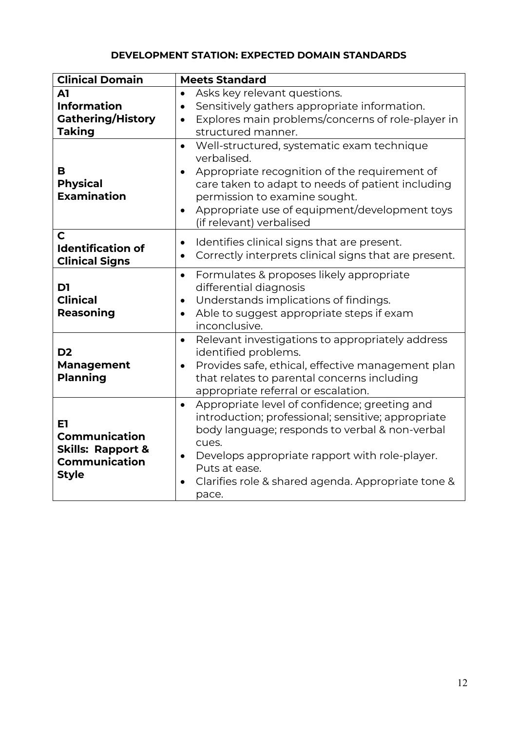# **DEVELOPMENT STATION: EXPECTED DOMAIN STANDARDS**

| <b>Clinical Domain</b>                                                                      | <b>Meets Standard</b>                                                                                                                                                                                                                                                                                                |
|---------------------------------------------------------------------------------------------|----------------------------------------------------------------------------------------------------------------------------------------------------------------------------------------------------------------------------------------------------------------------------------------------------------------------|
| A1                                                                                          | Asks key relevant questions.<br>$\bullet$                                                                                                                                                                                                                                                                            |
| <b>Information</b>                                                                          | Sensitively gathers appropriate information.<br>$\bullet$                                                                                                                                                                                                                                                            |
| <b>Gathering/History</b>                                                                    | Explores main problems/concerns of role-player in<br>$\bullet$                                                                                                                                                                                                                                                       |
| <b>Taking</b>                                                                               | structured manner.                                                                                                                                                                                                                                                                                                   |
| в<br><b>Physical</b><br><b>Examination</b>                                                  | Well-structured, systematic exam technique<br>$\bullet$<br>verbalised.<br>Appropriate recognition of the requirement of<br>$\bullet$<br>care taken to adapt to needs of patient including<br>permission to examine sought.<br>Appropriate use of equipment/development toys<br>$\bullet$<br>(if relevant) verbalised |
| C<br><b>Identification of</b><br><b>Clinical Signs</b>                                      | Identifies clinical signs that are present.<br>$\bullet$<br>Correctly interprets clinical signs that are present.                                                                                                                                                                                                    |
| D1<br><b>Clinical</b><br>Reasoning                                                          | Formulates & proposes likely appropriate<br>$\bullet$<br>differential diagnosis<br>Understands implications of findings.<br>$\bullet$<br>Able to suggest appropriate steps if exam<br>$\bullet$<br>inconclusive.                                                                                                     |
| D <sub>2</sub><br><b>Management</b><br><b>Planning</b>                                      | Relevant investigations to appropriately address<br>$\bullet$<br>identified problems.<br>Provides safe, ethical, effective management plan<br>$\bullet$<br>that relates to parental concerns including<br>appropriate referral or escalation.                                                                        |
| E1<br>Communication<br><b>Skills: Rapport &amp;</b><br><b>Communication</b><br><b>Style</b> | Appropriate level of confidence; greeting and<br>$\bullet$<br>introduction; professional; sensitive; appropriate<br>body language; responds to verbal & non-verbal<br>cues.<br>Develops appropriate rapport with role-player.<br>Puts at ease.<br>Clarifies role & shared agenda. Appropriate tone &<br>pace.        |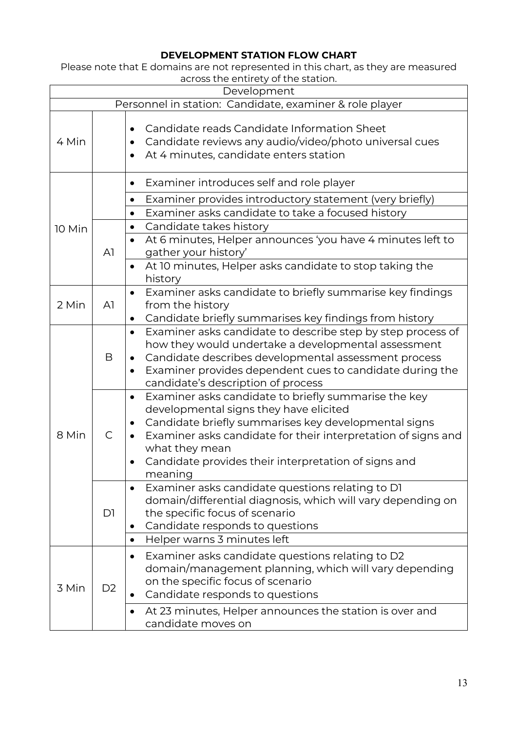# **DEVELOPMENT STATION FLOW CHART**

Please note that E domains are not represented in this chart, as they are measured across the entirety of the station.

| Development                                             |                |                                                                                                                                                                                                                                                                                                                           |
|---------------------------------------------------------|----------------|---------------------------------------------------------------------------------------------------------------------------------------------------------------------------------------------------------------------------------------------------------------------------------------------------------------------------|
| Personnel in station: Candidate, examiner & role player |                |                                                                                                                                                                                                                                                                                                                           |
| 4 Min                                                   |                | Candidate reads Candidate Information Sheet<br>Candidate reviews any audio/video/photo universal cues<br>At 4 minutes, candidate enters station                                                                                                                                                                           |
|                                                         |                | Examiner introduces self and role player                                                                                                                                                                                                                                                                                  |
| 10 Min                                                  | A1             | Examiner provides introductory statement (very briefly)<br>$\bullet$<br>Examiner asks candidate to take a focused history<br>Candidate takes history<br>$\bullet$<br>At 6 minutes, Helper announces 'you have 4 minutes left to<br>gather your history'<br>At 10 minutes, Helper asks candidate to stop taking the        |
| 2 Min                                                   | A <sub>1</sub> | history<br>Examiner asks candidate to briefly summarise key findings<br>$\bullet$<br>from the history<br>Candidate briefly summarises key findings from history                                                                                                                                                           |
|                                                         | B              | Examiner asks candidate to describe step by step process of<br>$\bullet$<br>how they would undertake a developmental assessment<br>Candidate describes developmental assessment process<br>Examiner provides dependent cues to candidate during the<br>candidate's description of process                                 |
| 8 Min                                                   | $\mathsf{C}$   | Examiner asks candidate to briefly summarise the key<br>$\bullet$<br>developmental signs they have elicited<br>Candidate briefly summarises key developmental signs<br>Examiner asks candidate for their interpretation of signs and<br>what they mean<br>Candidate provides their interpretation of signs and<br>meaning |
|                                                         | D1             | Examiner asks candidate questions relating to D1<br>$\bullet$<br>domain/differential diagnosis, which will vary depending on<br>the specific focus of scenario<br>Candidate responds to questions<br>Helper warns 3 minutes left<br>$\bullet$                                                                             |
| 3 Min                                                   | D <sub>2</sub> | Examiner asks candidate questions relating to D2<br>٠<br>domain/management planning, which will vary depending<br>on the specific focus of scenario<br>Candidate responds to questions<br>At 23 minutes, Helper announces the station is over and<br>$\bullet$<br>candidate moves on                                      |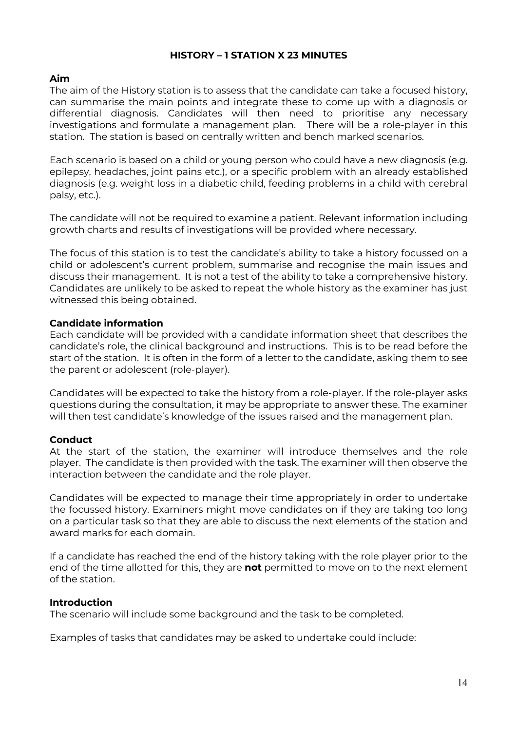### **HISTORY – 1 STATION X 23 MINUTES**

#### **Aim**

The aim of the History station is to assess that the candidate can take a focused history, can summarise the main points and integrate these to come up with a diagnosis or differential diagnosis. Candidates will then need to prioritise any necessary investigations and formulate a management plan. There will be a role-player in this station. The station is based on centrally written and bench marked scenarios.

Each scenario is based on a child or young person who could have a new diagnosis (e.g. epilepsy, headaches, joint pains etc.), or a specific problem with an already established diagnosis (e.g. weight loss in a diabetic child, feeding problems in a child with cerebral palsy, etc.).

The candidate will not be required to examine a patient. Relevant information including growth charts and results of investigations will be provided where necessary.

The focus of this station is to test the candidate's ability to take a history focussed on a child or adolescent's current problem, summarise and recognise the main issues and discuss their management. It is not a test of the ability to take a comprehensive history. Candidates are unlikely to be asked to repeat the whole history as the examiner has just witnessed this being obtained.

#### **Candidate information**

Each candidate will be provided with a candidate information sheet that describes the candidate's role, the clinical background and instructions. This is to be read before the start of the station. It is often in the form of a letter to the candidate, asking them to see the parent or adolescent (role-player).

Candidates will be expected to take the history from a role-player. If the role-player asks questions during the consultation, it may be appropriate to answer these. The examiner will then test candidate's knowledge of the issues raised and the management plan.

#### **Conduct**

At the start of the station, the examiner will introduce themselves and the role player. The candidate is then provided with the task. The examiner will then observe the interaction between the candidate and the role player.

Candidates will be expected to manage their time appropriately in order to undertake the focussed history. Examiners might move candidates on if they are taking too long on a particular task so that they are able to discuss the next elements of the station and award marks for each domain.

If a candidate has reached the end of the history taking with the role player prior to the end of the time allotted for this, they are **not** permitted to move on to the next element of the station.

#### **Introduction**

The scenario will include some background and the task to be completed.

Examples of tasks that candidates may be asked to undertake could include: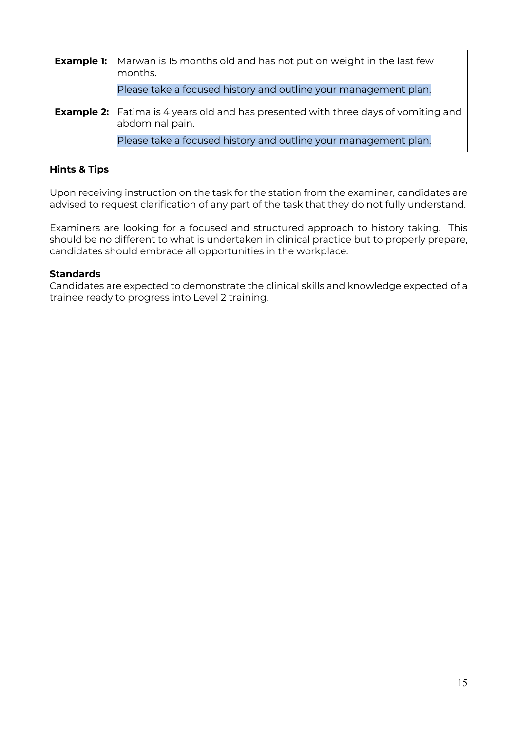| <b>Example 1:</b> | Marwan is 15 months old and has not put on weight in the last few<br>months.                                 |
|-------------------|--------------------------------------------------------------------------------------------------------------|
|                   | Please take a focused history and outline your management plan.                                              |
|                   | <b>Example 2:</b> Fatima is 4 years old and has presented with three days of vomiting and<br>abdominal pain. |
|                   | Please take a focused history and outline your management plan.                                              |

#### **Hints & Tips**

Upon receiving instruction on the task for the station from the examiner, candidates are advised to request clarification of any part of the task that they do not fully understand.

Examiners are looking for a focused and structured approach to history taking. This should be no different to what is undertaken in clinical practice but to properly prepare, candidates should embrace all opportunities in the workplace.

#### **Standards**

Candidates are expected to demonstrate the clinical skills and knowledge expected of a trainee ready to progress into Level 2 training.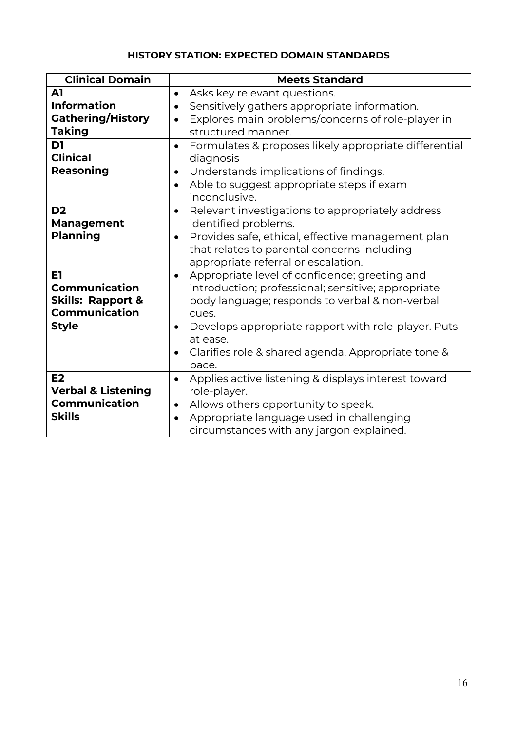# **HISTORY STATION: EXPECTED DOMAIN STANDARDS**

| <b>Clinical Domain</b>        | <b>Meets Standard</b>                                              |
|-------------------------------|--------------------------------------------------------------------|
| A1                            | Asks key relevant questions.<br>$\bullet$                          |
| <b>Information</b>            | Sensitively gathers appropriate information.                       |
| <b>Gathering/History</b>      | Explores main problems/concerns of role-player in                  |
| <b>Taking</b>                 | structured manner.                                                 |
| D1                            | Formulates & proposes likely appropriate differential<br>$\bullet$ |
| <b>Clinical</b>               | diagnosis                                                          |
| <b>Reasoning</b>              | Understands implications of findings.<br>$\bullet$                 |
|                               | Able to suggest appropriate steps if exam                          |
|                               | inconclusive.                                                      |
| D <sub>2</sub>                | Relevant investigations to appropriately address<br>$\bullet$      |
| <b>Management</b>             | identified problems.                                               |
| <b>Planning</b>               | Provides safe, ethical, effective management plan<br>$\bullet$     |
|                               | that relates to parental concerns including                        |
|                               | appropriate referral or escalation.                                |
| E1                            | Appropriate level of confidence; greeting and<br>$\bullet$         |
| <b>Communication</b>          | introduction; professional; sensitive; appropriate                 |
| <b>Skills: Rapport &amp;</b>  | body language; responds to verbal & non-verbal                     |
| Communication                 | cues.                                                              |
| <b>Style</b>                  | Develops appropriate rapport with role-player. Puts                |
|                               | at ease.                                                           |
|                               | Clarifies role & shared agenda. Appropriate tone &<br>$\bullet$    |
|                               | pace.                                                              |
| E2                            | Applies active listening & displays interest toward<br>$\bullet$   |
| <b>Verbal &amp; Listening</b> | role-player.                                                       |
| <b>Communication</b>          | Allows others opportunity to speak.                                |
| <b>Skills</b>                 | Appropriate language used in challenging                           |
|                               | circumstances with any jargon explained.                           |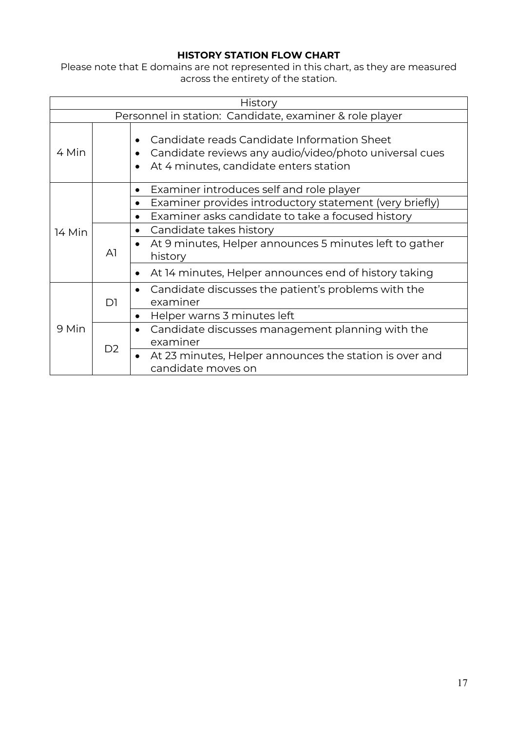# **HISTORY STATION FLOW CHART**

Please note that E domains are not represented in this chart, as they are measured across the entirety of the station.

| History |                                                         |                                                                                                                                                              |  |
|---------|---------------------------------------------------------|--------------------------------------------------------------------------------------------------------------------------------------------------------------|--|
|         | Personnel in station: Candidate, examiner & role player |                                                                                                                                                              |  |
| 4 Min   |                                                         | Candidate reads Candidate Information Sheet<br>$\bullet$<br>Candidate reviews any audio/video/photo universal cues<br>At 4 minutes, candidate enters station |  |
|         |                                                         | Examiner introduces self and role player<br>٠                                                                                                                |  |
|         |                                                         | Examiner provides introductory statement (very briefly)                                                                                                      |  |
|         |                                                         | Examiner asks candidate to take a focused history<br>$\bullet$                                                                                               |  |
| 14 Min  | A <sub>1</sub>                                          | Candidate takes history<br>$\bullet$                                                                                                                         |  |
|         |                                                         | At 9 minutes, Helper announces 5 minutes left to gather<br>$\bullet$<br>history                                                                              |  |
|         |                                                         | At 14 minutes, Helper announces end of history taking<br>$\bullet$                                                                                           |  |
| 9 Min   | D1                                                      | Candidate discusses the patient's problems with the<br>$\bullet$<br>examiner                                                                                 |  |
|         |                                                         | Helper warns 3 minutes left<br>$\bullet$                                                                                                                     |  |
|         | D <sub>2</sub>                                          | Candidate discusses management planning with the<br>$\bullet$                                                                                                |  |
|         |                                                         | examiner                                                                                                                                                     |  |
|         |                                                         | At 23 minutes, Helper announces the station is over and<br>$\bullet$<br>candidate moves on                                                                   |  |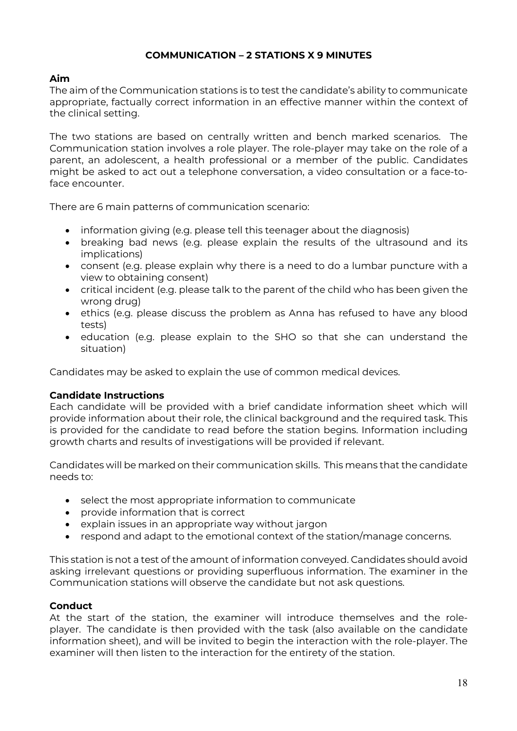# **COMMUNICATION – 2 STATIONS X 9 MINUTES**

### **Aim**

The aim of the Communication stations is to test the candidate's ability to communicate appropriate, factually correct information in an effective manner within the context of the clinical setting.

The two stations are based on centrally written and bench marked scenarios. The Communication station involves a role player. The role-player may take on the role of a parent, an adolescent, a health professional or a member of the public. Candidates might be asked to act out a telephone conversation, a video consultation or a face-toface encounter.

There are 6 main patterns of communication scenario:

- information giving (e.g. please tell this teenager about the diagnosis)
- breaking bad news (e.g. please explain the results of the ultrasound and its implications)
- consent (e.g. please explain why there is a need to do a lumbar puncture with a view to obtaining consent)
- critical incident (e.g. please talk to the parent of the child who has been given the wrong drug)
- ethics (e.g. please discuss the problem as Anna has refused to have any blood tests)
- education (e.g. please explain to the SHO so that she can understand the situation)

Candidates may be asked to explain the use of common medical devices.

#### **Candidate Instructions**

Each candidate will be provided with a brief candidate information sheet which will provide information about their role, the clinical background and the required task. This is provided for the candidate to read before the station begins. Information including growth charts and results of investigations will be provided if relevant.

Candidates will be marked on their communication skills. This means that the candidate needs to:

- select the most appropriate information to communicate
- provide information that is correct
- explain issues in an appropriate way without jargon
- respond and adapt to the emotional context of the station/manage concerns.

This station is not a test of the amount of information conveyed. Candidates should avoid asking irrelevant questions or providing superfluous information. The examiner in the Communication stations will observe the candidate but not ask questions.

#### **Conduct**

At the start of the station, the examiner will introduce themselves and the roleplayer. The candidate is then provided with the task (also available on the candidate information sheet), and will be invited to begin the interaction with the role-player. The examiner will then listen to the interaction for the entirety of the station.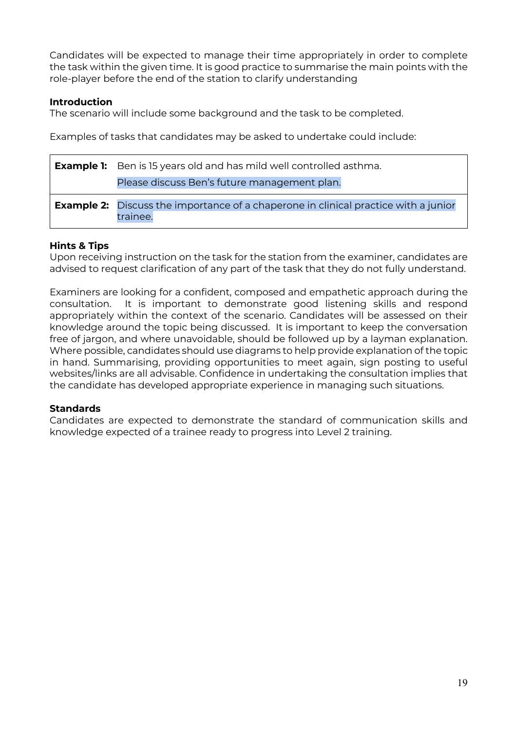Candidates will be expected to manage their time appropriately in order to complete the task within the given time. It is good practice to summarise the main points with the role-player before the end of the station to clarify understanding

### **Introduction**

The scenario will include some background and the task to be completed.

Examples of tasks that candidates may be asked to undertake could include:

| <b>Example 1:</b> Ben is 15 years old and has mild well controlled asthma.                             |
|--------------------------------------------------------------------------------------------------------|
| Please discuss Ben's future management plan.                                                           |
| <b>Example 2:</b> Discuss the importance of a chaperone in clinical practice with a junior<br>trainee. |

### **Hints & Tips**

Upon receiving instruction on the task for the station from the examiner, candidates are advised to request clarification of any part of the task that they do not fully understand.

Examiners are looking for a confident, composed and empathetic approach during the consultation. It is important to demonstrate good listening skills and respond appropriately within the context of the scenario. Candidates will be assessed on their knowledge around the topic being discussed. It is important to keep the conversation free of jargon, and where unavoidable, should be followed up by a layman explanation. Where possible, candidates should use diagrams to help provide explanation of the topic in hand. Summarising, providing opportunities to meet again, sign posting to useful websites/links are all advisable. Confidence in undertaking the consultation implies that the candidate has developed appropriate experience in managing such situations.

## **Standards**

Candidates are expected to demonstrate the standard of communication skills and knowledge expected of a trainee ready to progress into Level 2 training.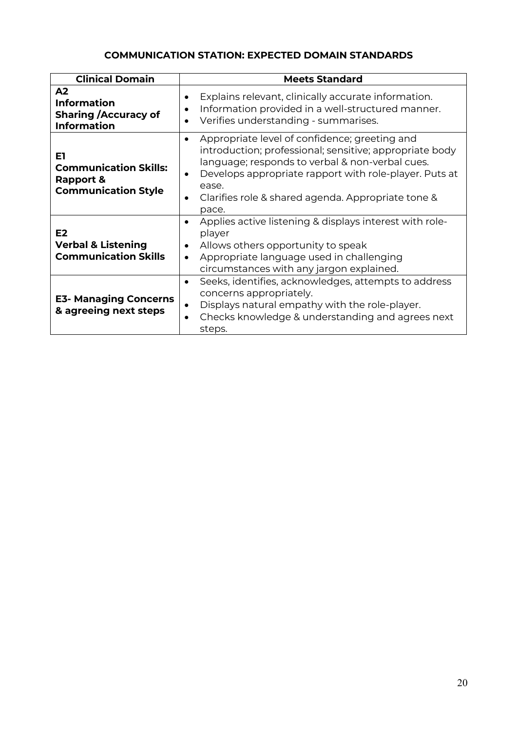# **COMMUNICATION STATION: EXPECTED DOMAIN STANDARDS**

| <b>Clinical Domain</b>                                                                     | <b>Meets Standard</b>                                                                                                                                                                                                                                                                                                                |
|--------------------------------------------------------------------------------------------|--------------------------------------------------------------------------------------------------------------------------------------------------------------------------------------------------------------------------------------------------------------------------------------------------------------------------------------|
| A <sub>2</sub><br><b>Information</b><br><b>Sharing / Accuracy of</b><br><b>Information</b> | Explains relevant, clinically accurate information.<br>$\bullet$<br>Information provided in a well-structured manner.<br>$\bullet$<br>Verifies understanding - summarises.<br>$\bullet$                                                                                                                                              |
| E1<br><b>Communication Skills:</b><br>Rapport &<br><b>Communication Style</b>              | Appropriate level of confidence; greeting and<br>$\bullet$<br>introduction; professional; sensitive; appropriate body<br>language; responds to verbal & non-verbal cues.<br>Develops appropriate rapport with role-player. Puts at<br>$\bullet$<br>ease.<br>Clarifies role & shared agenda. Appropriate tone &<br>$\bullet$<br>pace. |
| E2<br><b>Verbal &amp; Listening</b><br><b>Communication Skills</b>                         | Applies active listening & displays interest with role-<br>$\bullet$<br>player<br>Allows others opportunity to speak<br>$\bullet$<br>Appropriate language used in challenging<br>$\bullet$<br>circumstances with any jargon explained.                                                                                               |
| <b>E3- Managing Concerns</b><br>& agreeing next steps                                      | Seeks, identifies, acknowledges, attempts to address<br>$\bullet$<br>concerns appropriately.<br>Displays natural empathy with the role-player.<br>$\bullet$<br>Checks knowledge & understanding and agrees next<br>$\bullet$<br>steps.                                                                                               |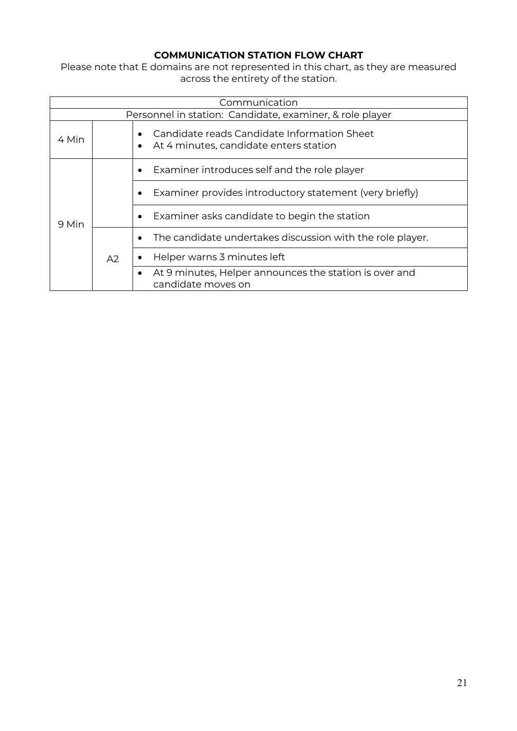# **COMMUNICATION STATION FLOW CHART**

Please note that E domains are not represented in this chart, as they are measured across the entirety of the station.

| Communication |                                                          |                                                                                                    |  |
|---------------|----------------------------------------------------------|----------------------------------------------------------------------------------------------------|--|
|               | Personnel in station: Candidate, examiner, & role player |                                                                                                    |  |
| 4 Min         |                                                          | Candidate reads Candidate Information Sheet<br>At 4 minutes, candidate enters station<br>$\bullet$ |  |
| 9 Min         |                                                          | Examiner introduces self and the role player                                                       |  |
|               |                                                          | Examiner provides introductory statement (very briefly)                                            |  |
|               |                                                          | Examiner asks candidate to begin the station                                                       |  |
|               | A2                                                       | The candidate undertakes discussion with the role player.                                          |  |
|               |                                                          | Helper warns 3 minutes left                                                                        |  |
|               |                                                          | At 9 minutes, Helper announces the station is over and<br>candidate moves on                       |  |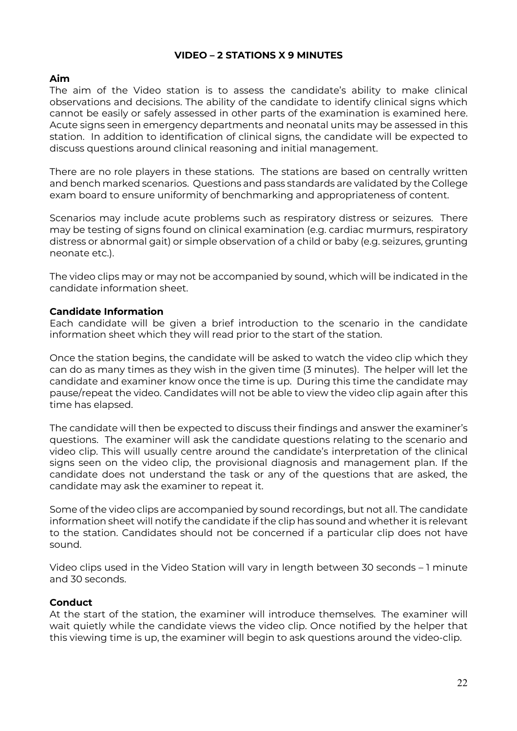### **VIDEO – 2 STATIONS X 9 MINUTES**

#### **Aim**

The aim of the Video station is to assess the candidate's ability to make clinical observations and decisions. The ability of the candidate to identify clinical signs which cannot be easily or safely assessed in other parts of the examination is examined here. Acute signs seen in emergency departments and neonatal units may be assessed in this station. In addition to identification of clinical signs, the candidate will be expected to discuss questions around clinical reasoning and initial management.

There are no role players in these stations. The stations are based on centrally written and bench marked scenarios. Questions and pass standards are validated by the College exam board to ensure uniformity of benchmarking and appropriateness of content.

Scenarios may include acute problems such as respiratory distress or seizures. There may be testing of signs found on clinical examination (e.g. cardiac murmurs, respiratory distress or abnormal gait) or simple observation of a child or baby (e.g. seizures, grunting neonate etc.).

The video clips may or may not be accompanied by sound, which will be indicated in the candidate information sheet.

#### **Candidate Information**

Each candidate will be given a brief introduction to the scenario in the candidate information sheet which they will read prior to the start of the station.

Once the station begins, the candidate will be asked to watch the video clip which they can do as many times as they wish in the given time (3 minutes). The helper will let the candidate and examiner know once the time is up. During this time the candidate may pause/repeat the video. Candidates will not be able to view the video clip again after this time has elapsed.

The candidate will then be expected to discuss their findings and answer the examiner's questions. The examiner will ask the candidate questions relating to the scenario and video clip. This will usually centre around the candidate's interpretation of the clinical signs seen on the video clip, the provisional diagnosis and management plan. If the candidate does not understand the task or any of the questions that are asked, the candidate may ask the examiner to repeat it.

Some of the video clips are accompanied by sound recordings, but not all. The candidate information sheet will notify the candidate if the clip has sound and whether it is relevant to the station. Candidates should not be concerned if a particular clip does not have sound.

Video clips used in the Video Station will vary in length between 30 seconds – 1 minute and 30 seconds.

#### **Conduct**

At the start of the station, the examiner will introduce themselves. The examiner will wait quietly while the candidate views the video clip. Once notified by the helper that this viewing time is up, the examiner will begin to ask questions around the video-clip.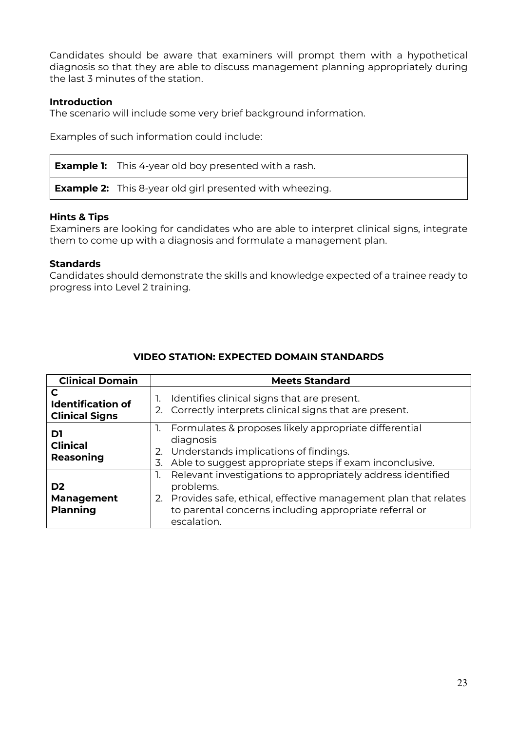Candidates should be aware that examiners will prompt them with a hypothetical diagnosis so that they are able to discuss management planning appropriately during the last 3 minutes of the station.

#### **Introduction**

The scenario will include some very brief background information.

Examples of such information could include:

**Example 1:** This 4-year old boy presented with a rash.

**Example 2:** This 8-year old girl presented with wheezing.

#### **Hints & Tips**

Examiners are looking for candidates who are able to interpret clinical signs, integrate them to come up with a diagnosis and formulate a management plan.

#### **Standards**

Candidates should demonstrate the skills and knowledge expected of a trainee ready to progress into Level 2 training.

| <b>Clinical Domain</b>                                 | <b>Meets Standard</b>                                                                                                                                                                                                     |
|--------------------------------------------------------|---------------------------------------------------------------------------------------------------------------------------------------------------------------------------------------------------------------------------|
| C<br><b>Identification of</b><br><b>Clinical Signs</b> | Identifies clinical signs that are present.<br>$\mathbf{1}$<br>2. Correctly interprets clinical signs that are present.                                                                                                   |
| D1<br><b>Clinical</b><br>Reasoning                     | Formulates & proposes likely appropriate differential<br>diagnosis<br>Understands implications of findings.<br>2.<br>Able to suggest appropriate steps if exam inconclusive.<br>3.                                        |
| D <sub>2</sub><br><b>Management</b><br><b>Planning</b> | 1. Relevant investigations to appropriately address identified<br>problems.<br>2. Provides safe, ethical, effective management plan that relates<br>to parental concerns including appropriate referral or<br>escalation. |

#### **VIDEO STATION: EXPECTED DOMAIN STANDARDS**